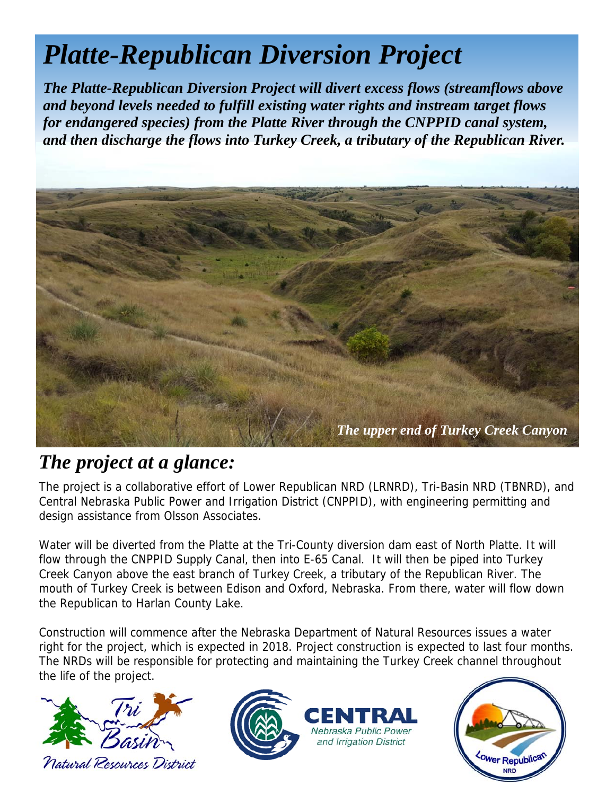## *Platte-Republican Diversion Project*

*The Platte-Republican Diversion Project will divert excess flows (streamflows above and beyond levels needed to fulfill existing water rights and instream target flows for endangered species) from the Platte River through the CNPPID canal system, and then discharge the flows into Turkey Creek, a tributary of the Republican River.* 



## *The project at a glance:*

The project is a collaborative effort of Lower Republican NRD (LRNRD), Tri-Basin NRD (TBNRD), and Central Nebraska Public Power and Irrigation District (CNPPID), with engineering permitting and design assistance from Olsson Associates.

Water will be diverted from the Platte at the Tri-County diversion dam east of North Platte. It will flow through the CNPPID Supply Canal, then into E-65 Canal. It will then be piped into Turkey Creek Canyon above the east branch of Turkey Creek, a tributary of the Republican River. The mouth of Turkey Creek is between Edison and Oxford, Nebraska. From there, water will flow down the Republican to Harlan County Lake.

Construction will commence after the Nebraska Department of Natural Resources issues a water right for the project, which is expected in 2018. Project construction is expected to last four months. The NRDs will be responsible for protecting and maintaining the Turkey Creek channel throughout the life of the project.